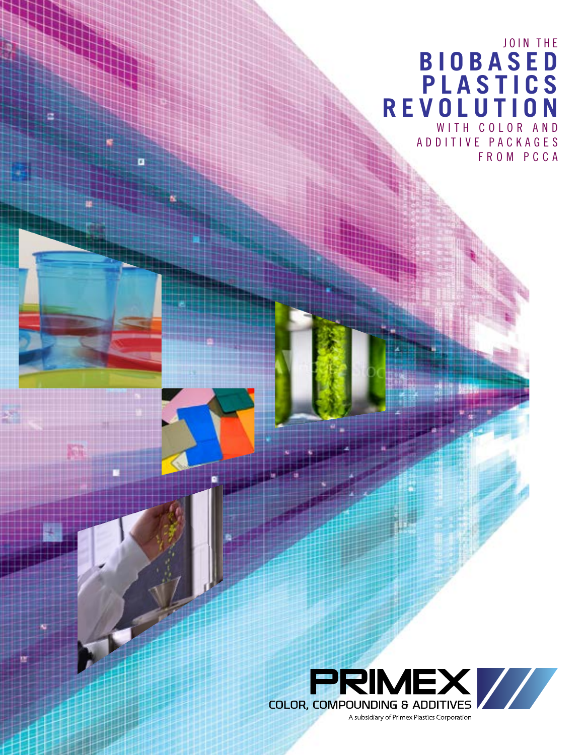## JOIN THE  **BIOBASED PLASTICS REVOLUTION** WITH COLOR AND A D D I T I V E P A C K A G E S

Ŧ

FROM PCCA